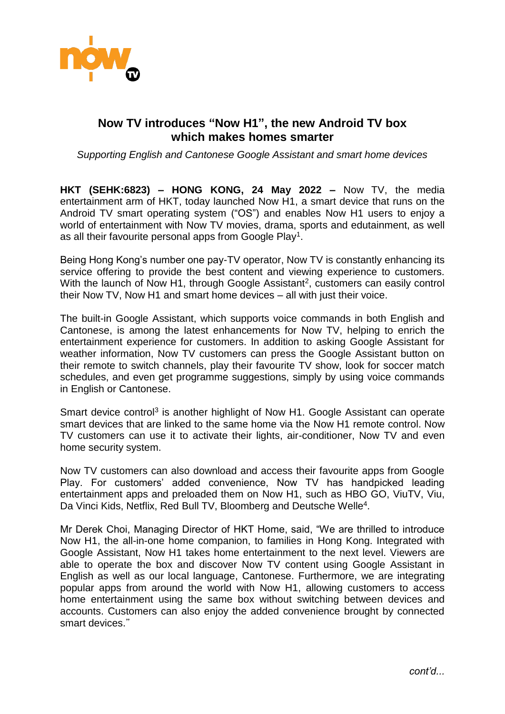

## **Now TV introduces "Now H1", the new Android TV box which makes homes smarter**

*Supporting English and Cantonese Google Assistant and smart home devices* 

**HKT (SEHK:6823) – HONG KONG, 24 May 2022 –** Now TV, the media entertainment arm of HKT, today launched Now H1, a smart device that runs on the Android TV smart operating system ("OS") and enables Now H1 users to enjoy a world of entertainment with Now TV movies, drama, sports and edutainment, as well as all their favourite personal apps from Google Play<sup>1</sup>.

Being Hong Kong's number one pay-TV operator, Now TV is constantly enhancing its service offering to provide the best content and viewing experience to customers. With the launch of Now H1, through Google Assistant<sup>2</sup>, customers can easily control their Now TV, Now H1 and smart home devices – all with just their voice.

The built-in Google Assistant, which supports voice commands in both English and Cantonese, is among the latest enhancements for Now TV, helping to enrich the entertainment experience for customers. In addition to asking Google Assistant for weather information, Now TV customers can press the Google Assistant button on their remote to switch channels, play their favourite TV show, look for soccer match schedules, and even get programme suggestions, simply by using voice commands in English or Cantonese.

Smart device control<sup>3</sup> is another highlight of Now H1. Google Assistant can operate smart devices that are linked to the same home via the Now H1 remote control. Now TV customers can use it to activate their lights, air-conditioner, Now TV and even home security system.

Now TV customers can also download and access their favourite apps from Google Play. For customers' added convenience, Now TV has handpicked leading entertainment apps and preloaded them on Now H1, such as HBO GO, ViuTV, Viu, Da Vinci Kids, Netflix, Red Bull TV, Bloomberg and Deutsche Welle<sup>4</sup>.

Mr Derek Choi, Managing Director of HKT Home, said, "We are thrilled to introduce Now H1, the all-in-one home companion, to families in Hong Kong. Integrated with Google Assistant, Now H1 takes home entertainment to the next level. Viewers are able to operate the box and discover Now TV content using Google Assistant in English as well as our local language, Cantonese. Furthermore, we are integrating popular apps from around the world with Now H1, allowing customers to access home entertainment using the same box without switching between devices and accounts. Customers can also enjoy the added convenience brought by connected smart devices."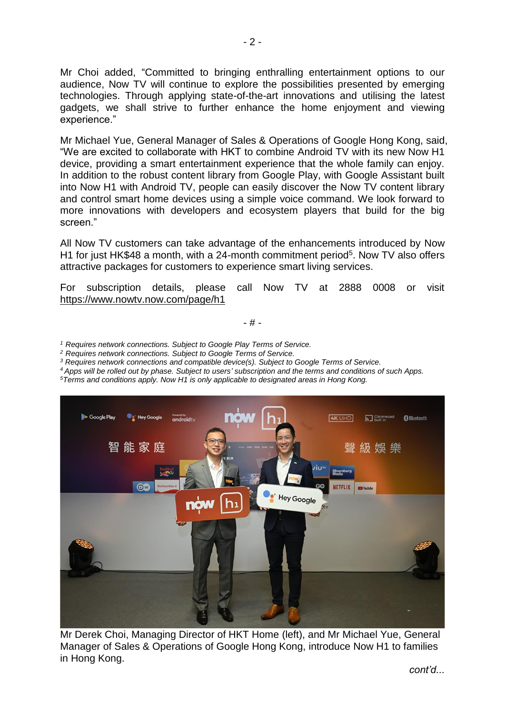Mr Choi added, "Committed to bringing enthralling entertainment options to our audience, Now TV will continue to explore the possibilities presented by emerging technologies. Through applying state-of-the-art innovations and utilising the latest gadgets, we shall strive to further enhance the home enjoyment and viewing experience."

Mr Michael Yue, General Manager of Sales & Operations of Google Hong Kong, said, "We are excited to collaborate with HKT to combine Android TV with its new Now H1 device, providing a smart entertainment experience that the whole family can enjoy. In addition to the robust content library from Google Play, with Google Assistant built into Now H1 with Android TV, people can easily discover the Now TV content library and control smart home devices using a simple voice command. We look forward to more innovations with developers and ecosystem players that build for the big screen."

All Now TV customers can take advantage of the enhancements introduced by Now H1 for just HK\$48 a month, with a 24-month commitment period<sup>5</sup>. Now TV also offers attractive packages for customers to experience smart living services.

For subscription details, please call Now TV at 2888 0008 or visit https://www.nowtv.now.com/page/h1

- # -

*<sup>1</sup> Requires network connections. Subject to Google Play Terms of Service.*

*<sup>2</sup> Requires network connections. Subject to Google Terms of Service.*

*<sup>3</sup> Requires network connections and compatible device(s). Subject to Google Terms of Service.*

*<sup>4</sup> Apps will be rolled out by phase. Subject to users' subscription and the terms and conditions of such Apps.* 

*<sup>5</sup>Terms and conditions apply. Now H1 is only applicable to designated areas in Hong Kong.*



Mr Derek Choi, Managing Director of HKT Home (left), and Mr Michael Yue, General Manager of Sales & Operations of Google Hong Kong, introduce Now H1 to families in Hong Kong.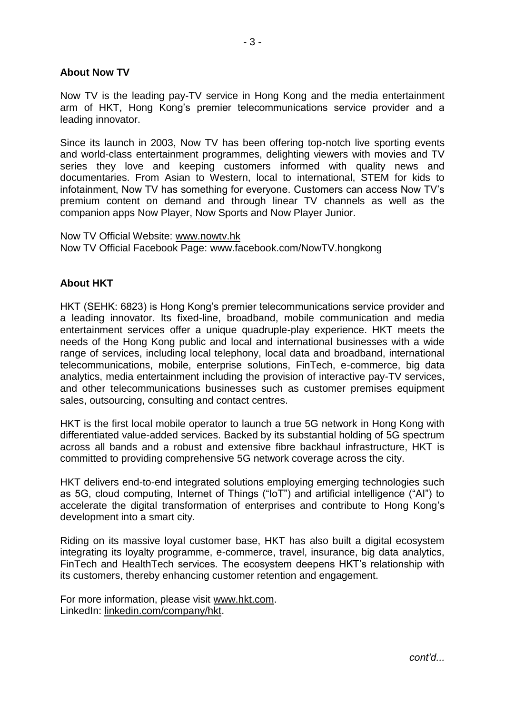## **About Now TV**

Now TV is the leading pay-TV service in Hong Kong and the media entertainment arm of HKT, Hong Kong's premier telecommunications service provider and a leading innovator.

Since its launch in 2003, Now TV has been offering top-notch live sporting events and world-class entertainment programmes, delighting viewers with movies and TV series they love and keeping customers informed with quality news and documentaries. From Asian to Western, local to international, STEM for kids to infotainment, Now TV has something for everyone. Customers can access Now TV's premium content on demand and through linear TV channels as well as the companion apps Now Player, Now Sports and Now Player Junior.

Now TV Official Website: [www.nowtv.hk](http://www.nowtv.hk/) Now TV Official Facebook Page: [www.facebook.com/NowTV.hongkong](http://www.facebook.com/NowTV.hongkong)

## **About HKT**

HKT (SEHK: 6823) is Hong Kong's premier telecommunications service provider and a leading innovator. Its fixed-line, broadband, mobile communication and media entertainment services offer a unique quadruple-play experience. HKT meets the needs of the Hong Kong public and local and international businesses with a wide range of services, including local telephony, local data and broadband, international telecommunications, mobile, enterprise solutions, FinTech, e-commerce, big data analytics, media entertainment including the provision of interactive pay-TV services, and other telecommunications businesses such as customer premises equipment sales, outsourcing, consulting and contact centres.

HKT is the first local mobile operator to launch a true 5G network in Hong Kong with differentiated value-added services. Backed by its substantial holding of 5G spectrum across all bands and a robust and extensive fibre backhaul infrastructure, HKT is committed to providing comprehensive 5G network coverage across the city.

HKT delivers end-to-end integrated solutions employing emerging technologies such as 5G, cloud computing, Internet of Things ("IoT") and artificial intelligence ("AI") to accelerate the digital transformation of enterprises and contribute to Hong Kong's development into a smart city.

Riding on its massive loyal customer base, HKT has also built a digital ecosystem integrating its loyalty programme, e-commerce, travel, insurance, big data analytics, FinTech and HealthTech services. The ecosystem deepens HKT's relationship with its customers, thereby enhancing customer retention and engagement.

For more information, please visit www.hkt.com. LinkedIn: linkedin.com/company/hkt.